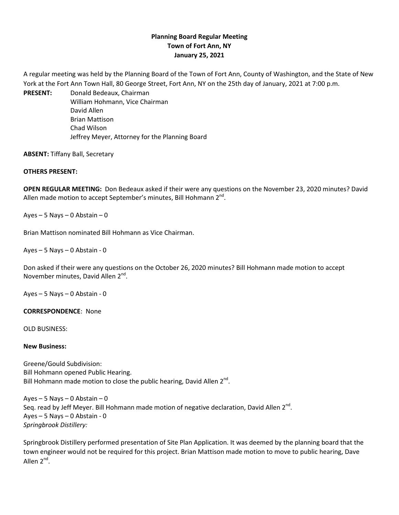## **Planning Board Regular Meeting Town of Fort Ann, NY January 25, 2021**

A regular meeting was held by the Planning Board of the Town of Fort Ann, County of Washington, and the State of New York at the Fort Ann Town Hall, 80 George Street, Fort Ann, NY on the 25th day of January, 2021 at 7:00 p.m.

**PRESENT:** Donald Bedeaux, Chairman William Hohmann, Vice Chairman David Allen Brian Mattison Chad Wilson Jeffrey Meyer, Attorney for the Planning Board

**ABSENT:** Tiffany Ball, Secretary

## **OTHERS PRESENT:**

**OPEN REGULAR MEETING:** Don Bedeaux asked if their were any questions on the November 23, 2020 minutes? David Allen made motion to accept September's minutes, Bill Hohmann  $2^{nd}$ .

Ayes – 5 Nays – 0 Abstain – 0

Brian Mattison nominated Bill Hohmann as Vice Chairman.

Ayes – 5 Nays – 0 Abstain - 0

Don asked if their were any questions on the October 26, 2020 minutes? Bill Hohmann made motion to accept November minutes, David Allen 2<sup>nd</sup>.

Ayes – 5 Nays – 0 Abstain - 0

**CORRESPONDENCE**: None

OLD BUSINESS:

**New Business:**

Greene/Gould Subdivision: Bill Hohmann opened Public Hearing. Bill Hohmann made motion to close the public hearing, David Allen  $2^{nd}$ .

 $Ayes - 5$  Nays – 0 Abstain – 0 Seq. read by Jeff Meyer. Bill Hohmann made motion of negative declaration, David Allen  $2^{nd}$ . Ayes – 5 Nays – 0 Abstain - 0 *Springbrook Distillery:* 

Springbrook Distillery performed presentation of Site Plan Application. It was deemed by the planning board that the town engineer would not be required for this project. Brian Mattison made motion to move to public hearing, Dave Allen 2<sup>nd</sup>.